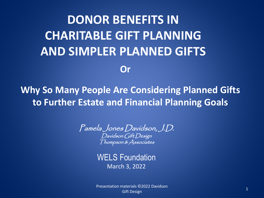# **DONOR BENEFITS IN CHARITABLE GIFT PLANNING AND SIMPLER PLANNED GIFTS Or**

## **Why So Many People Are Considering Planned Gifts to Further Estate and Financial Planning Goals**

Pamela Jones Davidson, J.D. Davidson Gift Design Thompson & Associates

WELS Foundation March 3, 2022

<sup>1</sup> Presentation materials ©2022 Davidson Gift Design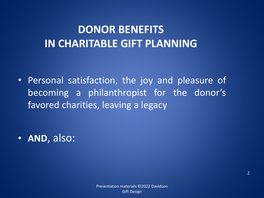# **DONOR BENEFITS IN CHARITABLE GIFT PLANNING**

• Personal satisfaction, the joy and pleasure of becoming a philanthropist for the donor's favored charities, leaving a legacy

• **AND**, also: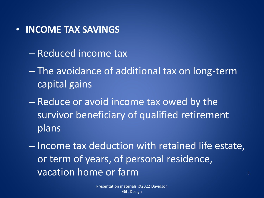#### • **INCOME TAX SAVINGS**

- Reduced income tax
- The avoidance of additional tax on long-term capital gains
- Reduce or avoid income tax owed by the survivor beneficiary of qualified retirement plans

– Income tax deduction with retained life estate, or term of years, of personal residence, vacation home or farm  $\frac{3}{3}$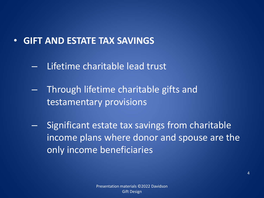## • **GIFT AND ESTATE TAX SAVINGS**

- Lifetime charitable lead trust
- Through lifetime charitable gifts and testamentary provisions
- Significant estate tax savings from charitable income plans where donor and spouse are the only income beneficiaries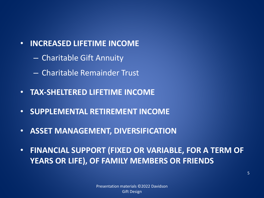- **INCREASED LIFETIME INCOME**
	- Charitable Gift Annuity
	- Charitable Remainder Trust
- **TAX-SHELTERED LIFETIME INCOME**
- **SUPPLEMENTAL RETIREMENT INCOME**
- **ASSET MANAGEMENT, DIVERSIFICATION**
- **FINANCIAL SUPPORT (FIXED OR VARIABLE, FOR A TERM OF YEARS OR LIFE), OF FAMILY MEMBERS OR FRIENDS**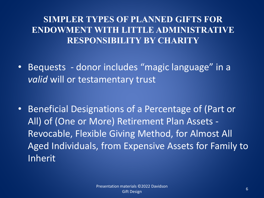#### **SIMPLER TYPES OF PLANNED GIFTS FOR ENDOWMENT WITH LITTLE ADMINISTRATIVE RESPONSIBILITY BY CHARITY**

- Bequests donor includes "magic language" in a *valid* will or testamentary trust
- Beneficial Designations of a Percentage of (Part or All) of (One or More) Retirement Plan Assets - Revocable, Flexible Giving Method, for Almost All Aged Individuals, from Expensive Assets for Family to Inherit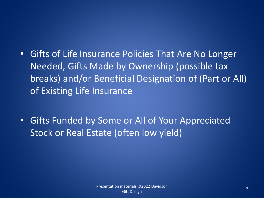- Gifts of Life Insurance Policies That Are No Longer Needed, Gifts Made by Ownership (possible tax breaks) and/or Beneficial Designation of (Part or All) of Existing Life Insurance
- Gifts Funded by Some or All of Your Appreciated Stock or Real Estate (often low yield)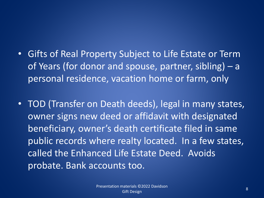- Gifts of Real Property Subject to Life Estate or Term of Years (for donor and spouse, partner, sibling) – a personal residence, vacation home or farm, only
- TOD (Transfer on Death deeds), legal in many states, owner signs new deed or affidavit with designated beneficiary, owner's death certificate filed in same public records where realty located. In a few states, called the Enhanced Life Estate Deed. Avoids probate. Bank accounts too.